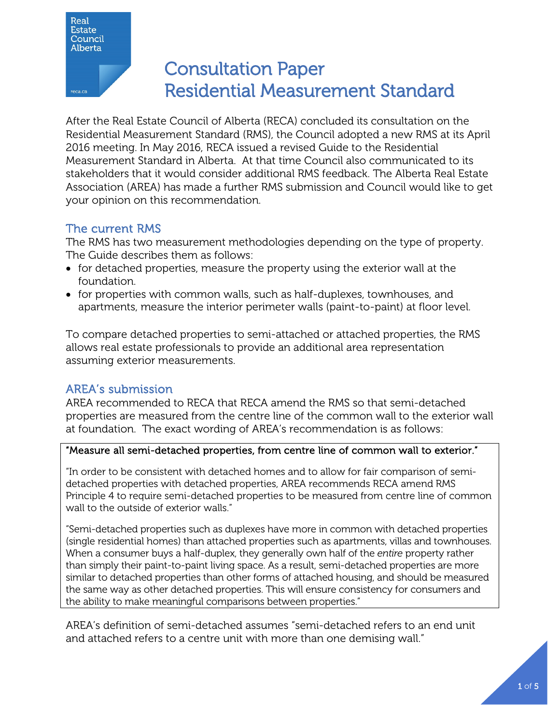

# Consultation Paper Residential Measurement Standard

After the Real Estate Council of Alberta (RECA) concluded its consultation on the Residential Measurement Standard (RMS), the Council adopted a new RMS at its April 2016 meeting. In May 2016, RECA issued a revised Guide to the Residential Measurement Standard in Alberta. At that time Council also communicated to its stakeholders that it would consider additional RMS feedback. The Alberta Real Estate Association (AREA) has made a further RMS submission and Council would like to get your opinion on this recommendation.

## The current RMS

The RMS has two measurement methodologies depending on the type of property. The Guide describes them as follows:

- for detached properties, measure the property using the exterior wall at the foundation.
- for properties with common walls, such as half-duplexes, townhouses, and apartments, measure the interior perimeter walls (paint-to-paint) at floor level.

To compare detached properties to semi-attached or attached properties, the RMS allows real estate professionals to provide an additional area representation assuming exterior measurements.

### AREA's submission

AREA recommended to RECA that RECA amend the RMS so that semi-detached properties are measured from the centre line of the common wall to the exterior wall at foundation. The exact wording of AREA's recommendation is as follows:

#### "Measure all semi-detached properties, from centre line of common wall to exterior."

"In order to be consistent with detached homes and to allow for fair comparison of semidetached properties with detached properties, AREA recommends RECA amend RMS Principle 4 to require semi-detached properties to be measured from centre line of common wall to the outside of exterior walls."

"Semi-detached properties such as duplexes have more in common with detached properties (single residential homes) than attached properties such as apartments, villas and townhouses. When a consumer buys a half-duplex, they generally own half of the *entire* property rather than simply their paint-to-paint living space. As a result, semi-detached properties are more similar to detached properties than other forms of attached housing, and should be measured the same way as other detached properties. This will ensure consistency for consumers and the ability to make meaningful comparisons between properties."

AREA's definition of semi-detached assumes "semi-detached refers to an end unit and attached refers to a centre unit with more than one demising wall."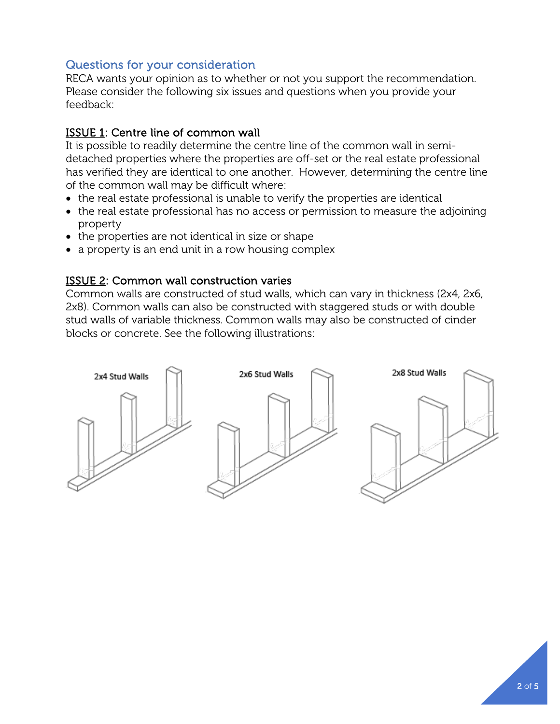# Questions for your consideration

RECA wants your opinion as to whether or not you support the recommendation. Please consider the following six issues and questions when you provide your feedback:

#### ISSUE 1: Centre line of common wall

It is possible to readily determine the centre line of the common wall in semidetached properties where the properties are off-set or the real estate professional has verified they are identical to one another. However, determining the centre line of the common wall may be difficult where:

- the real estate professional is unable to verify the properties are identical
- the real estate professional has no access or permission to measure the adjoining property
- the properties are not identical in size or shape
- a property is an end unit in a row housing complex

#### ISSUE 2: Common wall construction varies

Common walls are constructed of stud walls, which can vary in thickness (2x4, 2x6, 2x8). Common walls can also be constructed with staggered studs or with double stud walls of variable thickness. Common walls may also be constructed of cinder blocks or concrete. See the following illustrations:

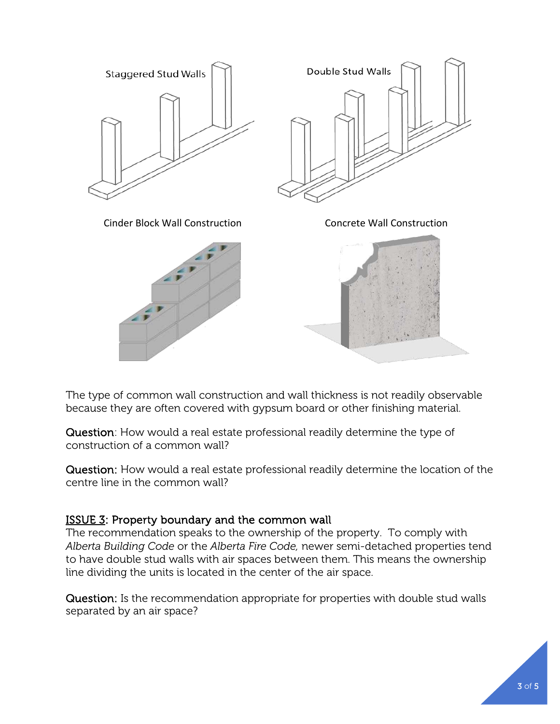

The type of common wall construction and wall thickness is not readily observable because they are often covered with gypsum board or other finishing material.

Question: How would a real estate professional readily determine the type of construction of a common wall?

Question: How would a real estate professional readily determine the location of the centre line in the common wall?

### ISSUE 3: Property boundary and the common wall

The recommendation speaks to the ownership of the property. To comply with *Alberta Building Code* or the *Alberta Fire Code,* newer semi-detached properties tend to have double stud walls with air spaces between them. This means the ownership line dividing the units is located in the center of the air space.

Question: Is the recommendation appropriate for properties with double stud walls separated by an air space?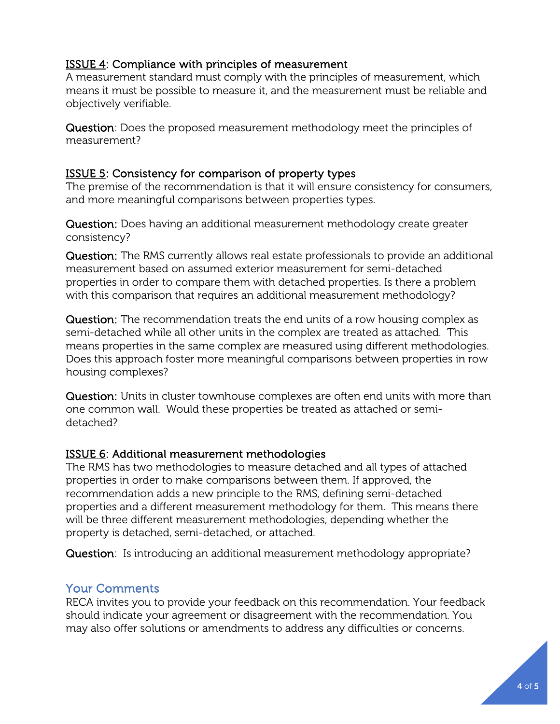#### **ISSUE 4: Compliance with principles of measurement**

A measurement standard must comply with the principles of measurement, which means it must be possible to measure it, and the measurement must be reliable and objectively verifiable.

Question: Does the proposed measurement methodology meet the principles of measurement?

#### ISSUE 5: Consistency for comparison of property types

The premise of the recommendation is that it will ensure consistency for consumers, and more meaningful comparisons between properties types.

Question: Does having an additional measurement methodology create greater consistency?

Question: The RMS currently allows real estate professionals to provide an additional measurement based on assumed exterior measurement for semi-detached properties in order to compare them with detached properties. Is there a problem with this comparison that requires an additional measurement methodology?

Question: The recommendation treats the end units of a row housing complex as semi-detached while all other units in the complex are treated as attached. This means properties in the same complex are measured using different methodologies. Does this approach foster more meaningful comparisons between properties in row housing complexes?

Question: Units in cluster townhouse complexes are often end units with more than one common wall. Would these properties be treated as attached or semidetached?

#### ISSUE 6: Additional measurement methodologies

The RMS has two methodologies to measure detached and all types of attached properties in order to make comparisons between them. If approved, the recommendation adds a new principle to the RMS, defining semi-detached properties and a different measurement methodology for them. This means there will be three different measurement methodologies, depending whether the property is detached, semi-detached, or attached.

Question: Is introducing an additional measurement methodology appropriate?

### Your Comments

RECA invites you to provide your feedback on this recommendation. Your feedback should indicate your agreement or disagreement with the recommendation. You may also offer solutions or amendments to address any difficulties or concerns.